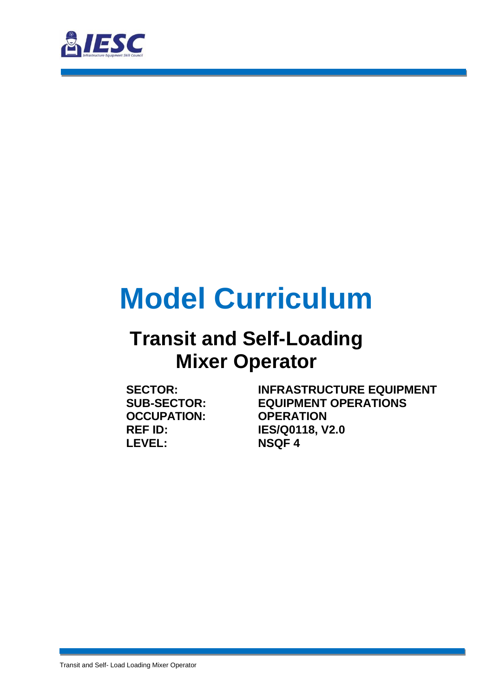

# **Model Curriculum**

### **Transit and Self-Loading Mixer Operator**

**OCCUPATION: LEVEL: NSQF 4**

**SECTOR: INFRASTRUCTURE EQUIPMENT SUB-SECTOR: EQUIPMENT OPERATIONS REF ID: IES/Q0118, V2.0**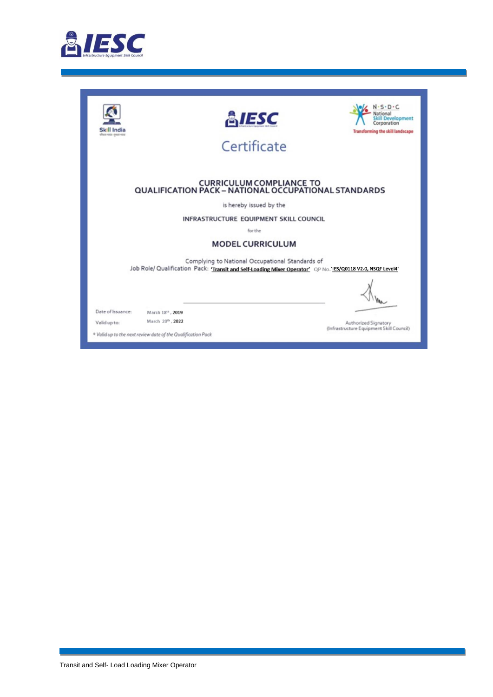

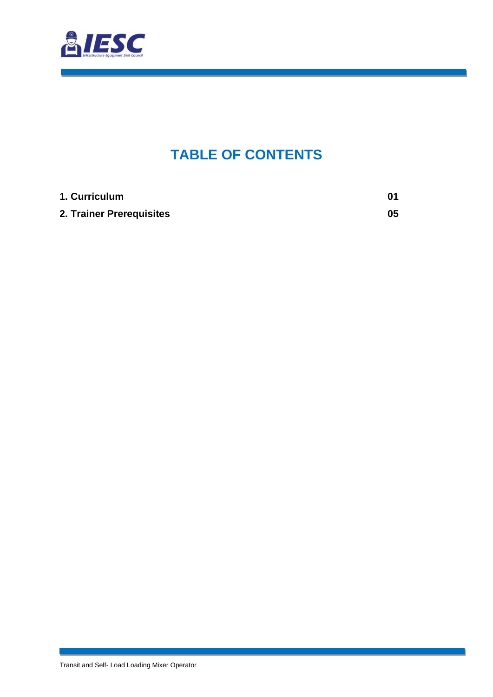

### **TABLE OF CONTENTS**

<span id="page-2-0"></span>

| 1. Curriculum            | 01 |
|--------------------------|----|
| 2. Trainer Prerequisites | 05 |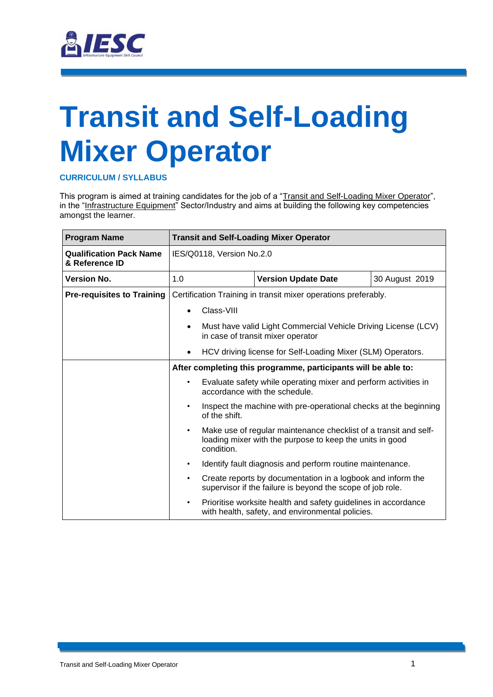

# <span id="page-3-0"></span>**Transit and Self-Loading Mixer Operator**

#### **CURRICULUM / SYLLABUS**

This program is aimed at training candidates for the job of a "Transit and Self-Loading Mixer Operator", in the "Infrastructure Equipment" Sector/Industry and aims at building the following key competencies amongst the learner.

| <b>Program Name</b>                              |           |                           | <b>Transit and Self-Loading Mixer Operator</b>                                                                               |                |
|--------------------------------------------------|-----------|---------------------------|------------------------------------------------------------------------------------------------------------------------------|----------------|
| <b>Qualification Pack Name</b><br>& Reference ID |           | IES/Q0118, Version No.2.0 |                                                                                                                              |                |
| <b>Version No.</b>                               | 1.0       |                           | <b>Version Update Date</b>                                                                                                   | 30 August 2019 |
| <b>Pre-requisites to Training</b>                |           |                           | Certification Training in transit mixer operations preferably.                                                               |                |
|                                                  |           | Class-VIII                |                                                                                                                              |                |
|                                                  |           |                           | Must have valid Light Commercial Vehicle Driving License (LCV)<br>in case of transit mixer operator                          |                |
|                                                  |           |                           | HCV driving license for Self-Loading Mixer (SLM) Operators.                                                                  |                |
|                                                  |           |                           | After completing this programme, participants will be able to:                                                               |                |
|                                                  | $\bullet$ |                           | Evaluate safety while operating mixer and perform activities in<br>accordance with the schedule.                             |                |
|                                                  |           | of the shift.             | Inspect the machine with pre-operational checks at the beginning                                                             |                |
|                                                  | $\bullet$ | condition.                | Make use of regular maintenance checklist of a transit and self-<br>loading mixer with the purpose to keep the units in good |                |
|                                                  | $\bullet$ |                           | Identify fault diagnosis and perform routine maintenance.                                                                    |                |
|                                                  | $\bullet$ |                           | Create reports by documentation in a logbook and inform the<br>supervisor if the failure is beyond the scope of job role.    |                |
|                                                  | $\bullet$ |                           | Prioritise worksite health and safety guidelines in accordance<br>with health, safety, and environmental policies.           |                |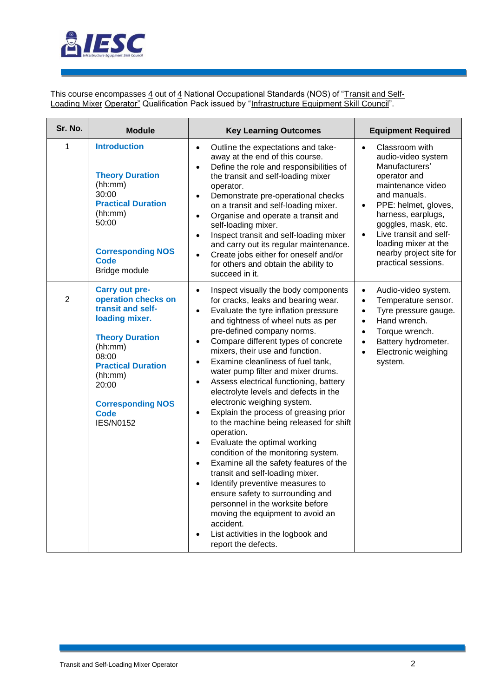

This course encompasses <u>4</u> out of <u>4</u> National Occupational Standards (NOS) of "<u>Transit and Self-</u> <u>Loading Mixer Operator"</u> Qualification Pack issued by "<u>Infrastructure Equipment Skill Council</u>".

| Sr. No.        | <b>Module</b>                                                                                                                                                                                                                              | <b>Key Learning Outcomes</b>                                                                                                                                                                                                                                                                                                                                                                                                                                                                                                                                                                                                                                                                                                                                                                                                                                                                                                                                                                                                                                       | <b>Equipment Required</b>                                                                                                                                                                                                                                                                                                   |
|----------------|--------------------------------------------------------------------------------------------------------------------------------------------------------------------------------------------------------------------------------------------|--------------------------------------------------------------------------------------------------------------------------------------------------------------------------------------------------------------------------------------------------------------------------------------------------------------------------------------------------------------------------------------------------------------------------------------------------------------------------------------------------------------------------------------------------------------------------------------------------------------------------------------------------------------------------------------------------------------------------------------------------------------------------------------------------------------------------------------------------------------------------------------------------------------------------------------------------------------------------------------------------------------------------------------------------------------------|-----------------------------------------------------------------------------------------------------------------------------------------------------------------------------------------------------------------------------------------------------------------------------------------------------------------------------|
| 1              | <b>Introduction</b><br><b>Theory Duration</b><br>(hh:mm)<br>30:00<br><b>Practical Duration</b><br>(hh:mm)<br>50:00<br><b>Corresponding NOS</b><br><b>Code</b><br>Bridge module                                                             | Outline the expectations and take-<br>$\bullet$<br>away at the end of this course.<br>Define the role and responsibilities of<br>$\bullet$<br>the transit and self-loading mixer<br>operator.<br>Demonstrate pre-operational checks<br>$\bullet$<br>on a transit and self-loading mixer.<br>Organise and operate a transit and<br>$\bullet$<br>self-loading mixer.<br>Inspect transit and self-loading mixer<br>$\bullet$<br>and carry out its regular maintenance.<br>Create jobs either for oneself and/or<br>$\bullet$<br>for others and obtain the ability to<br>succeed in it.                                                                                                                                                                                                                                                                                                                                                                                                                                                                                | Classroom with<br>$\bullet$<br>audio-video system<br>Manufacturers'<br>operator and<br>maintenance video<br>and manuals.<br>PPE: helmet, gloves,<br>$\bullet$<br>harness, earplugs,<br>goggles, mask, etc.<br>Live transit and self-<br>$\bullet$<br>loading mixer at the<br>nearby project site for<br>practical sessions. |
| $\overline{2}$ | Carry out pre-<br>operation checks on<br>transit and self-<br>loading mixer.<br><b>Theory Duration</b><br>(hh:mm)<br>08:00<br><b>Practical Duration</b><br>(hh:mm)<br>20:00<br><b>Corresponding NOS</b><br><b>Code</b><br><b>IES/N0152</b> | Inspect visually the body components<br>$\bullet$<br>for cracks, leaks and bearing wear.<br>Evaluate the tyre inflation pressure<br>$\bullet$<br>and tightness of wheel nuts as per<br>pre-defined company norms.<br>Compare different types of concrete<br>$\bullet$<br>mixers, their use and function.<br>Examine cleanliness of fuel tank,<br>$\bullet$<br>water pump filter and mixer drums.<br>Assess electrical functioning, battery<br>$\bullet$<br>electrolyte levels and defects in the<br>electronic weighing system.<br>Explain the process of greasing prior<br>$\bullet$<br>to the machine being released for shift<br>operation.<br>Evaluate the optimal working<br>$\bullet$<br>condition of the monitoring system.<br>Examine all the safety features of the<br>$\bullet$<br>transit and self-loading mixer.<br>Identify preventive measures to<br>$\bullet$<br>ensure safety to surrounding and<br>personnel in the worksite before<br>moving the equipment to avoid an<br>accident.<br>List activities in the logbook and<br>report the defects. | Audio-video system.<br>$\bullet$<br>Temperature sensor.<br>$\bullet$<br>Tyre pressure gauge.<br>$\bullet$<br>Hand wrench.<br>$\bullet$<br>Torque wrench.<br>$\bullet$<br>Battery hydrometer.<br>$\bullet$<br>Electronic weighing<br>$\bullet$<br>system.                                                                    |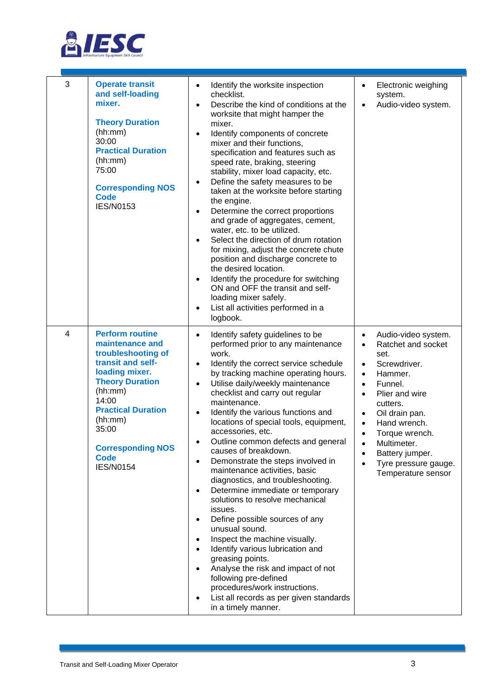

| 3 | <b>Operate transit</b><br>and self-loading<br>mixer.<br><b>Theory Duration</b><br>(hh:mm)<br>30:00<br><b>Practical Duration</b><br>(hh:mm)<br>75:00<br><b>Corresponding NOS</b><br><b>Code</b><br><b>IES/N0153</b>                                                   | Identify the worksite inspection<br>$\bullet$<br>checklist.<br>Describe the kind of conditions at the<br>worksite that might hamper the<br>mixer.<br>Identify components of concrete<br>mixer and their functions,<br>specification and features such as<br>speed rate, braking, steering<br>stability, mixer load capacity, etc.<br>Define the safety measures to be<br>taken at the worksite before starting<br>the engine.<br>Determine the correct proportions<br>$\bullet$<br>and grade of aggregates, cement,<br>water, etc. to be utilized.<br>Select the direction of drum rotation<br>for mixing, adjust the concrete chute<br>position and discharge concrete to<br>the desired location.<br>Identify the procedure for switching<br>ON and OFF the transit and self-<br>loading mixer safely.<br>List all activities performed in a<br>logbook.                                                                                                                                 | Electronic weighing<br>$\bullet$<br>system.<br>Audio-video system.<br>$\bullet$                                                                                                                                                                                                                                                                                                             |
|---|----------------------------------------------------------------------------------------------------------------------------------------------------------------------------------------------------------------------------------------------------------------------|--------------------------------------------------------------------------------------------------------------------------------------------------------------------------------------------------------------------------------------------------------------------------------------------------------------------------------------------------------------------------------------------------------------------------------------------------------------------------------------------------------------------------------------------------------------------------------------------------------------------------------------------------------------------------------------------------------------------------------------------------------------------------------------------------------------------------------------------------------------------------------------------------------------------------------------------------------------------------------------------|---------------------------------------------------------------------------------------------------------------------------------------------------------------------------------------------------------------------------------------------------------------------------------------------------------------------------------------------------------------------------------------------|
| 4 | <b>Perform routine</b><br>maintenance and<br>troubleshooting of<br>transit and self-<br>loading mixer.<br><b>Theory Duration</b><br>(hh:mm)<br>14:00<br><b>Practical Duration</b><br>(hh:mm)<br>35:00<br><b>Corresponding NOS</b><br><b>Code</b><br><b>IES/N0154</b> | Identify safety guidelines to be<br>$\bullet$<br>performed prior to any maintenance<br>work.<br>Identify the correct service schedule<br>$\bullet$<br>by tracking machine operating hours.<br>Utilise daily/weekly maintenance<br>$\bullet$<br>checklist and carry out regular<br>maintenance.<br>Identify the various functions and<br>$\bullet$<br>locations of special tools, equipment,<br>accessories, etc.<br>Outline common defects and general<br>causes of breakdown.<br>Demonstrate the steps involved in<br>maintenance activities, basic<br>diagnostics, and troubleshooting.<br>Determine immediate or temporary<br>solutions to resolve mechanical<br>issues.<br>Define possible sources of any<br>unusual sound.<br>Inspect the machine visually.<br>Identify various lubrication and<br>greasing points.<br>Analyse the risk and impact of not<br>following pre-defined<br>procedures/work instructions.<br>List all records as per given standards<br>in a timely manner. | Audio-video system.<br>$\bullet$<br>Ratchet and socket<br>$\bullet$<br>set.<br>Screwdriver.<br>$\bullet$<br>Hammer.<br>$\bullet$<br>Funnel.<br>$\bullet$<br>Plier and wire<br>$\bullet$<br>cutters.<br>Oil drain pan.<br>$\bullet$<br>Hand wrench.<br>$\bullet$<br>Torque wrench.<br>$\bullet$<br>Multimeter.<br>Battery jumper.<br>$\bullet$<br>Tyre pressure gauge.<br>Temperature sensor |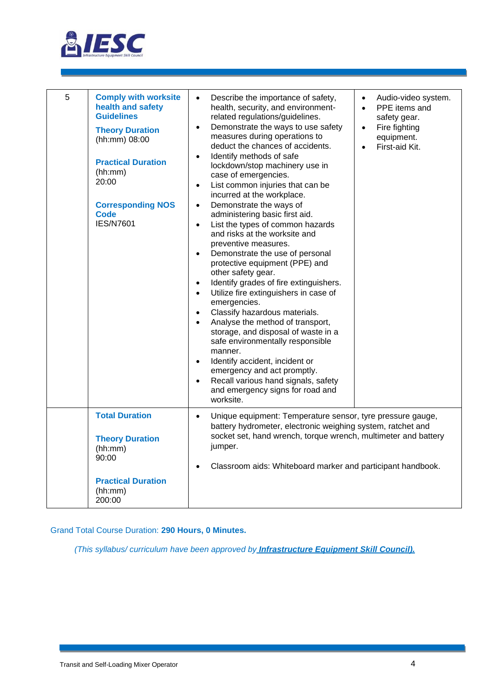

| 5 | <b>Comply with worksite</b><br>health and safety<br><b>Guidelines</b><br><b>Theory Duration</b><br>(hh:mm) 08:00<br><b>Practical Duration</b><br>(hh:mm)<br>20:00<br><b>Corresponding NOS</b><br><b>Code</b><br><b>IES/N7601</b> | Describe the importance of safety,<br>Audio-video system.<br>$\bullet$<br>$\bullet$<br>health, security, and environment-<br>PPE items and<br>$\bullet$<br>related regulations/guidelines.<br>safety gear.<br>Demonstrate the ways to use safety<br>Fire fighting<br>$\bullet$<br>$\bullet$<br>measures during operations to<br>equipment.<br>deduct the chances of accidents.<br>First-aid Kit.<br>$\bullet$<br>Identify methods of safe<br>$\bullet$<br>lockdown/stop machinery use in<br>case of emergencies.<br>List common injuries that can be<br>$\bullet$<br>incurred at the workplace.<br>Demonstrate the ways of<br>$\bullet$<br>administering basic first aid.<br>List the types of common hazards<br>$\bullet$<br>and risks at the worksite and<br>preventive measures.<br>Demonstrate the use of personal<br>$\bullet$<br>protective equipment (PPE) and<br>other safety gear.<br>Identify grades of fire extinguishers.<br>$\bullet$<br>Utilize fire extinguishers in case of<br>$\bullet$<br>emergencies.<br>Classify hazardous materials.<br>$\bullet$<br>Analyse the method of transport,<br>$\bullet$<br>storage, and disposal of waste in a<br>safe environmentally responsible<br>manner.<br>Identify accident, incident or<br>$\bullet$<br>emergency and act promptly.<br>Recall various hand signals, safety<br>$\bullet$<br>and emergency signs for road and<br>worksite. |
|---|----------------------------------------------------------------------------------------------------------------------------------------------------------------------------------------------------------------------------------|--------------------------------------------------------------------------------------------------------------------------------------------------------------------------------------------------------------------------------------------------------------------------------------------------------------------------------------------------------------------------------------------------------------------------------------------------------------------------------------------------------------------------------------------------------------------------------------------------------------------------------------------------------------------------------------------------------------------------------------------------------------------------------------------------------------------------------------------------------------------------------------------------------------------------------------------------------------------------------------------------------------------------------------------------------------------------------------------------------------------------------------------------------------------------------------------------------------------------------------------------------------------------------------------------------------------------------------------------------------------------------------------------|
|   | <b>Total Duration</b><br><b>Theory Duration</b><br>(hh:mm)<br>90:00<br><b>Practical Duration</b><br>(hh:mm)<br>200:00                                                                                                            | Unique equipment: Temperature sensor, tyre pressure gauge,<br>$\bullet$<br>battery hydrometer, electronic weighing system, ratchet and<br>socket set, hand wrench, torque wrench, multimeter and battery<br>jumper.<br>Classroom aids: Whiteboard marker and participant handbook.                                                                                                                                                                                                                                                                                                                                                                                                                                                                                                                                                                                                                                                                                                                                                                                                                                                                                                                                                                                                                                                                                                               |

Grand Total Course Duration: **290 Hours, 0 Minutes.**

*(This syllabus/ curriculum have been approved by Infrastructure Equipment Skill Council).*